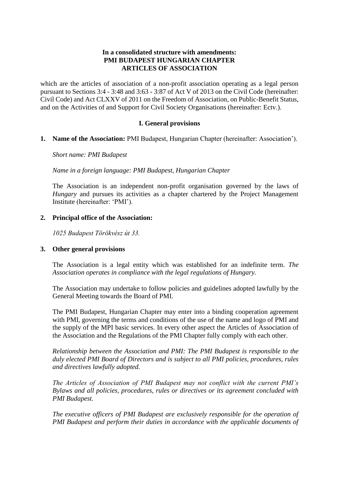# **In a consolidated structure with amendments: PMI BUDAPEST HUNGARIAN CHAPTER ARTICLES OF ASSOCIATION**

which are the articles of association of a non-profit association operating as a legal person pursuant to Sections 3:4 - 3:48 and 3:63 - 3:87 of Act V of 2013 on the Civil Code (hereinafter: Civil Code) and Act CLXXV of 2011 on the Freedom of Association, on Public-Benefit Status, and on the Activities of and Support for Civil Society Organisations (hereinafter: Ectv.).

## **I. General provisions**

**1. Name of the Association:** PMI Budapest, Hungarian Chapter (hereinafter: Association').

*Short name: PMI Budapest*

*Name in a foreign language: PMI Budapest, Hungarian Chapter*

The Association is an independent non-profit organisation governed by the laws of *Hungary* and pursues its activities as a chapter chartered by the Project Management Institute (hereinafter: 'PMI').

### **2. Principal office of the Association:**

*1025 Budapest Törökvész út 33.*

### **3. Other general provisions**

The Association is a legal entity which was established for an indefinite term. *The Association operates in compliance with the legal regulations of Hungary.* 

The Association may undertake to follow policies and guidelines adopted lawfully by the General Meeting towards the Board of PMI.

The PMI Budapest, Hungarian Chapter may enter into a binding cooperation agreement with PMI, governing the terms and conditions of the use of the name and logo of PMI and the supply of the MPI basic services. In every other aspect the Articles of Association of the Association and the Regulations of the PMI Chapter fully comply with each other.

*Relationship between the Association and PMI: The PMI Budapest is responsible to the duly elected PMI Board of Directors and is subject to all PMI policies, procedures, rules and directives lawfully adopted.* 

*The Articles of Association of PMI Budapest may not conflict with the current PMI's Bylaws and all policies, procedures, rules or directives or its agreement concluded with PMI Budapest.* 

*The executive officers of PMI Budapest are exclusively responsible for the operation of PMI Budapest and perform their duties in accordance with the applicable documents of*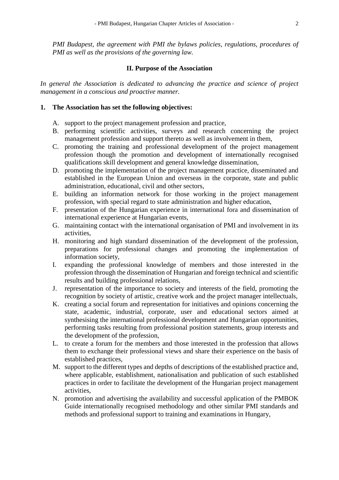*PMI Budapest, the agreement with PMI the bylaws policies, regulations, procedures of PMI as well as the provisions of the governing law.* 

#### **II. Purpose of the Association**

*In general the Association is dedicated to advancing the practice and science of project management in a conscious and proactive manner.*

#### **1. The Association has set the following objectives:**

- A. support to the project management profession and practice,
- B. performing scientific activities, surveys and research concerning the project management profession and support thereto as well as involvement in them,
- C. promoting the training and professional development of the project management profession though the promotion and development of internationally recognised qualifications skill development and general knowledge dissemination,
- D. promoting the implementation of the project management practice, disseminated and established in the European Union and overseas in the corporate, state and public administration, educational, civil and other sectors,
- E. building an information network for those working in the project management profession, with special regard to state administration and higher education,
- F. presentation of the Hungarian experience in international fora and dissemination of international experience at Hungarian events,
- G. maintaining contact with the international organisation of PMI and involvement in its activities,
- H. monitoring and high standard dissemination of the development of the profession, preparations for professional changes and promoting the implementation of information society,
- I. expanding the professional knowledge of members and those interested in the profession through the dissemination of Hungarian and foreign technical and scientific results and building professional relations,
- J. representation of the importance to society and interests of the field, promoting the recognition by society of artistic, creative work and the project manager intellectuals,
- K. creating a social forum and representation for initiatives and opinions concerning the state, academic, industrial, corporate, user and educational sectors aimed at synthesising the international professional development and Hungarian opportunities, performing tasks resulting from professional position statements, group interests and the development of the profession,
- L. to create a forum for the members and those interested in the profession that allows them to exchange their professional views and share their experience on the basis of established practices,
- M. support to the different types and depths of descriptions of the established practice and, where applicable, establishment, nationalisation and publication of such established practices in order to facilitate the development of the Hungarian project management activities,
- N. promotion and advertising the availability and successful application of the PMBOK Guide internationally recognised methodology and other similar PMI standards and methods and professional support to training and examinations in Hungary,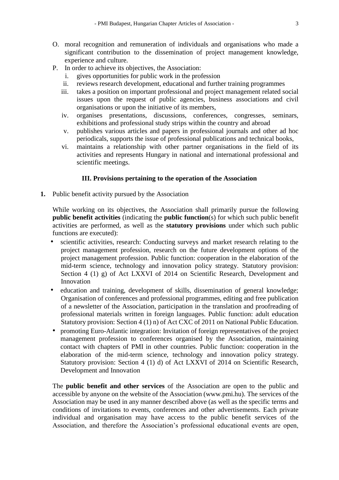- O. moral recognition and remuneration of individuals and organisations who made a significant contribution to the dissemination of project management knowledge, experience and culture.
- P. In order to achieve its objectives, the Association:
	- i. gives opportunities for public work in the profession
	- ii. reviews research development, educational and further training programmes
	- iii. takes a position on important professional and project management related social issues upon the request of public agencies, business associations and civil organisations or upon the initiative of its members,
	- iv. organises presentations, discussions, conferences, congresses, seminars, exhibitions and professional study strips within the country and abroad
	- v. publishes various articles and papers in professional journals and other ad hoc periodicals, supports the issue of professional publications and technical books,
	- vi. maintains a relationship with other partner organisations in the field of its activities and represents Hungary in national and international professional and scientific meetings.

### **III. Provisions pertaining to the operation of the Association**

**1.** Public benefit activity pursued by the Association

While working on its objectives, the Association shall primarily pursue the following **public benefit activities** (indicating the **public function**(s) for which such public benefit activities are performed, as well as the **statutory provisions** under which such public functions are executed):

- scientific activities, research: Conducting surveys and market research relating to the project management profession, research on the future development options of the project management profession. Public function: cooperation in the elaboration of the mid-term science, technology and innovation policy strategy. Statutory provision: Section 4 (1) g) of Act LXXVI of 2014 on Scientific Research, Development and Innovation
- education and training, development of skills, dissemination of general knowledge; Organisation of conferences and professional programmes, editing and free publication of a newsletter of the Association, participation in the translation and proofreading of professional materials written in foreign languages. Public function: adult education Statutory provision: Section 4 (1) n) of Act CXC of 2011 on National Public Education.
- promoting Euro-Atlantic integration: Invitation of foreign representatives of the project management profession to conferences organised by the Association, maintaining contact with chapters of PMI in other countries. Public function: cooperation in the elaboration of the mid-term science, technology and innovation policy strategy. Statutory provision: Section 4 (1) d) of Act LXXVI of 2014 on Scientific Research, Development and Innovation

The **public benefit and other services** of the Association are open to the public and accessible by anyone on the website of the Association [\(www.pmi.hu\)](http://www.pmi.hu/). The services of the Association may be used in any manner described above (as well as the specific terms and conditions of invitations to events, conferences and other advertisements. Each private individual and organisation may have access to the public benefit services of the Association, and therefore the Association's professional educational events are open,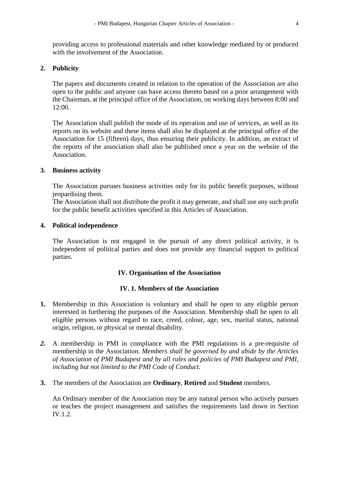providing access to professional materials and other knowledge mediated by or produced with the involvement of the Association.

### **2. Publicity**

The papers and documents created in relation to the operation of the Association are also open to the public and anyone can have access thereto based on a prior arrangement with the Chairman, at the principal office of the Association, on working days between 8:00 and 12:00.

The Association shall publish the mode of its operation and use of services, as well as its reports on its website and these items shall also be displayed at the principal office of the Association for 15 (fifteen) days, thus ensuring their publicity. In addition, an extract of the reports of the association shall also be published once a year on the website of the Association.

#### **3. Business activity**

The Association pursues business activities only for its public benefit purposes, without jeopardising them.

The Association shall not distribute the profit it may generate, and shall use any such profit for the public benefit activities specified in this Articles of Association.

#### **4. Political independence**

The Association is not engaged in the pursuit of any direct political activity, it is independent of political parties and does not provide any financial support to political parties.

### **IV. Organisation of the Association**

#### **IV. 1. Members of the Association**

- **1.** Membership in this Association is voluntary and shall be open to any eligible person interested in furthering the purposes of the Association. Membership shall be open to all eligible persons without regard to race, creed, colour, age, sex, marital status, national origin, religion, or physical or mental disability.
- *2.* A membership in PMI in compliance with the PMI regulations is a pre-requisite of membership in the Association. *Members shall be governed by and abide by the Articles of Association of PMI Budapest and by all rules and policies of PMI Budapest and PMI, including but not limited to the PMI Code of Conduct.*
- **3.** The members of the Association are **Ordinary**, **Retired** and **Student** members.

An Ordinary member of the Association may be any natural person who actively pursues or teaches the project management and satisfies the requirements laid down in Section IV.1.2.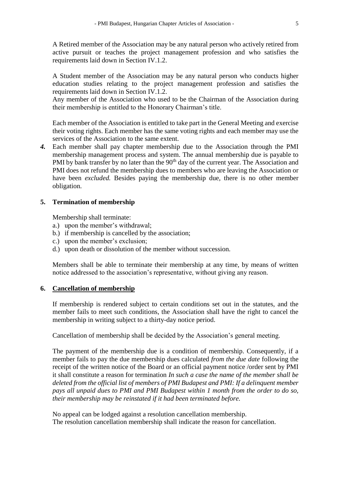A Retired member of the Association may be any natural person who actively retired from active pursuit or teaches the project management profession and who satisfies the requirements laid down in Section IV.1.2.

A Student member of the Association may be any natural person who conducts higher education studies relating to the project management profession and satisfies the requirements laid down in Section IV.1.2.

Any member of the Association who used to be the Chairman of the Association during their membership is entitled to the Honorary Chairman's title.

Each member of the Association is entitled to take part in the General Meeting and exercise their voting rights. Each member has the same voting rights and each member may use the services of the Association to the same extent.

*4.* Each member shall pay chapter membership due to the Association through the PMI membership management process and system. The annual membership due is payable to PMI by bank transfer by no later than the 90<sup>th</sup> day of the current year. The Association and PMI does not refund the membership dues to members who are leaving the Association or have been *excluded.* Besides paying the membership due, there is no other member obligation.

## **5. Termination of membership**

Membership shall terminate:

- a.) upon the member's withdrawal;
- b.) if membership is cancelled by the association;
- c.) upon the member's exclusion;
- d.) upon death or dissolution of the member without succession.

Members shall be able to terminate their membership at any time, by means of written notice addressed to the association's representative, without giving any reason.

### **6. Cancellation of membership**

If membership is rendered subject to certain conditions set out in the statutes, and the member fails to meet such conditions, the Association shall have the right to cancel the membership in writing subject to a thirty-day notice period.

Cancellation of membership shall be decided by the Association's general meeting.

The payment of the membership due is a condition of membership. Consequently, if a member fails to pay the due membership dues calculated *from the due date* following the receipt of the written notice of the Board or an official payment notice /order sent by PMI it shall constitute a reason for termination *In such a case the name of the member shall be deleted from the official list of members of PMI Budapest and PMI: If a delinquent member pays all unpaid dues to PMI and PMI Budapest within 1 month from the order to do so, their membership may be reinstated if it had been terminated before.* 

No appeal can be lodged against a resolution cancellation membership. The resolution cancellation membership shall indicate the reason for cancellation.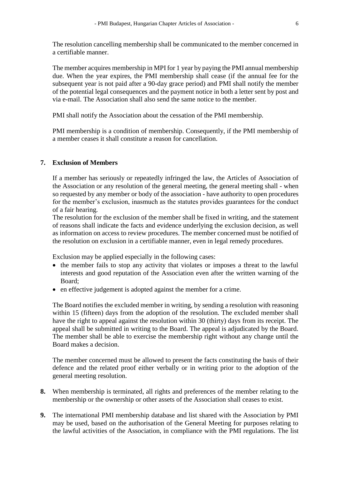The resolution cancelling membership shall be communicated to the member concerned in a certifiable manner.

The member acquires membership in MPI for 1 year by paying the PMI annual membership due. When the year expires, the PMI membership shall cease (if the annual fee for the subsequent year is not paid after a 90-day grace period) and PMI shall notify the member of the potential legal consequences and the payment notice in both a letter sent by post and via e-mail. The Association shall also send the same notice to the member.

PMI shall notify the Association about the cessation of the PMI membership.

PMI membership is a condition of membership. Consequently, if the PMI membership of a member ceases it shall constitute a reason for cancellation.

#### **7. Exclusion of Members**

If a member has seriously or repeatedly infringed the law, the Articles of Association of the Association or any resolution of the general meeting, the general meeting shall - when so requested by any member or body of the association - have authority to open procedures for the member's exclusion, inasmuch as the statutes provides guarantees for the conduct of a fair hearing.

The resolution for the exclusion of the member shall be fixed in writing, and the statement of reasons shall indicate the facts and evidence underlying the exclusion decision, as well as information on access to review procedures. The member concerned must be notified of the resolution on exclusion in a certifiable manner, even in legal remedy procedures.

Exclusion may be applied especially in the following cases:

- the member fails to stop any activity that violates or imposes a threat to the lawful interests and good reputation of the Association even after the written warning of the Board;
- en effective judgement is adopted against the member for a crime.

The Board notifies the excluded member in writing, by sending a resolution with reasoning within 15 (fifteen) days from the adoption of the resolution. The excluded member shall have the right to appeal against the resolution within 30 (thirty) days from its receipt. The appeal shall be submitted in writing to the Board. The appeal is adjudicated by the Board. The member shall be able to exercise the membership right without any change until the Board makes a decision.

The member concerned must be allowed to present the facts constituting the basis of their defence and the related proof either verbally or in writing prior to the adoption of the general meeting resolution.

- **8.** When membership is terminated, all rights and preferences of the member relating to the membership or the ownership or other assets of the Association shall ceases to exist.
- **9.** The international PMI membership database and list shared with the Association by PMI may be used, based on the authorisation of the General Meeting for purposes relating to the lawful activities of the Association, in compliance with the PMI regulations. The list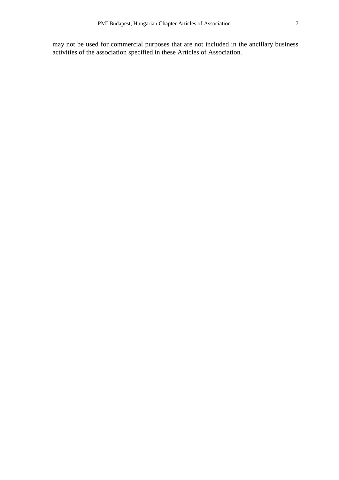may not be used for commercial purposes that are not included in the ancillary business activities of the association specified in these Articles of Association.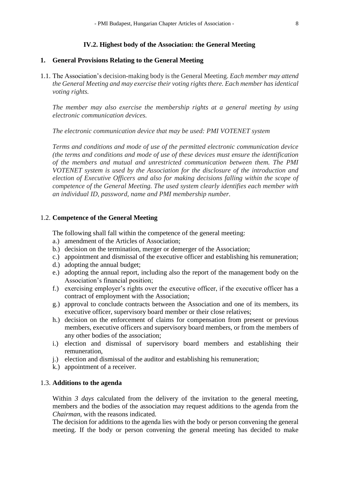## **IV.2. Highest body of the Association: the General Meeting**

#### **1. General Provisions Relating to the General Meeting**

1.1. The Association's decision-making body is the General Meeting. *Each member may attend the General Meeting and may exercise their voting rights there. Each member has identical voting rights.* 

*The member may also exercise the membership rights at a general meeting by using electronic communication devices.*

*The electronic communication device that may be used: PMI VOTENET system*

*Terms and conditions and mode of use of the permitted electronic communication device (the terms and conditions and mode of use of these devices must ensure the identification of the members and mutual and unrestricted communication between them. The PMI VOTENET system is used by the Association for the disclosure of the introduction and election of Executive Officers and also for making decisions falling within the scope of competence of the General Meeting. The used system clearly identifies each member with an individual ID, password, name and PMI membership number.*

#### 1.2. **Competence of the General Meeting**

The following shall fall within the competence of the general meeting:

- a.) amendment of the Articles of Association;
- b.) decision on the termination, merger or demerger of the Association;
- c.) appointment and dismissal of the executive officer and establishing his remuneration;
- d.) adopting the annual budget;
- e.) adopting the annual report, including also the report of the management body on the Association's financial position;
- f.) exercising employer's rights over the executive officer, if the executive officer has a contract of employment with the Association;
- g.) approval to conclude contracts between the Association and one of its members, its executive officer, supervisory board member or their close relatives;
- h.) decision on the enforcement of claims for compensation from present or previous members, executive officers and supervisory board members, or from the members of any other bodies of the association;
- i.) election and dismissal of supervisory board members and establishing their remuneration,
- i.) election and dismissal of the auditor and establishing his remuneration;
- k.) appointment of a receiver.

#### 1.3. **Additions to the agenda**

Within *3 days* calculated from the delivery of the invitation to the general meeting, members and the bodies of the association may request additions to the agenda from the *Chairman*, with the reasons indicated.

The decision for additions to the agenda lies with the body or person convening the general meeting. If the body or person convening the general meeting has decided to make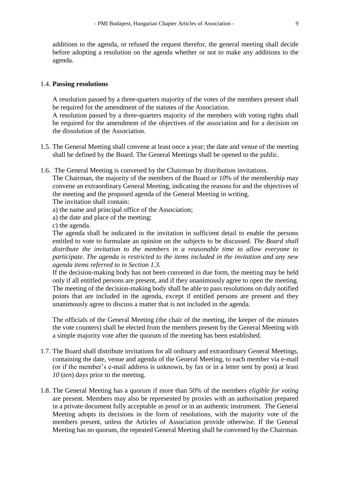additions to the agenda, or refused the request therefor, the general meeting shall decide before adopting a resolution on the agenda whether or not to make any additions to the agenda.

#### 1.4. **Passing resolutions**

A resolution passed by a three-quarters majority of the votes of the members present shall be required for the amendment of the statutes of the Association.

A resolution passed by a three-quarters majority of the members with voting rights shall be required for the amendment of the objectives of the association and for a decision on the dissolution of the Association.

- 1.5. The General Meeting shall convene at least once a year; the date and venue of the meeting shall be defined by the Board. The General Meetings shall be opened to the public.
- 1.6. The General Meeting is convened by the Chairman by distribution invitations.

The Chairman, the majority of the members of the Board or *10*% of the membership may convene an extraordinary General Meeting, indicating the reasons for and the objectives of the meeting and the proposed agenda of the General Meeting in writing. The invitation shall contain:

- a) the name and principal office of the Association;
- a) the date and place of the meeting;

c) the agenda.

The agenda shall be indicated in the invitation in sufficient detail to enable the persons entitled to vote to formulate an opinion on the subjects to be discussed. *The Board shall distribute the invitation to the members in a reasonable time to allow everyone to participate. The agenda is restricted to the items included in the invitation and any new agenda items referred to in Section 1.3.*

If the decision-making body has not been convened in due form, the meeting may be held only if all entitled persons are present, and if they unanimously agree to open the meeting. The meeting of the decision-making body shall be able to pass resolutions on duly notified points that are included in the agenda, except if entitled persons are present and they unanimously agree to discuss a matter that is not included in the agenda.

The officials of the General Meeting (the chair of the meeting, the keeper of the minutes the vote counters) shall be elected from the members present by the General Meeting with a simple majority vote after the quorum of the meeting has been established.

- 1.7. The Board shall distribute invitations for all ordinary and extraordinary General Meetings, containing the date, venue and agenda of the General Meeting, to each member via e-mail (or if the member's e-mail address is unknown, by fax or in a letter sent by post) at least *10* (*ten*) days prior to the meeting.
- 1.8. The General Meeting has a quorum if more than 50% of the members *eligible for voting* are present. Members may also be represented by proxies with an authorisation prepared in a private document fully acceptable as proof or in an authentic instrument. The General Meeting adopts its decisions in the form of resolutions, with the majority vote of the members present, unless the Articles of Association provide otherwise. If the General Meeting has no quorum, the repeated General Meeting shall be convened by the Chairman.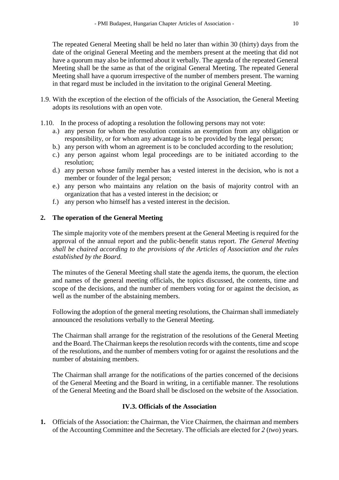The repeated General Meeting shall be held no later than within 30 (thirty) days from the date of the original General Meeting and the members present at the meeting that did not have a quorum may also be informed about it verbally. The agenda of the repeated General Meeting shall be the same as that of the original General Meeting. The repeated General Meeting shall have a quorum irrespective of the number of members present. The warning in that regard must be included in the invitation to the original General Meeting.

- 1.9. With the exception of the election of the officials of the Association, the General Meeting adopts its resolutions with an open vote.
- 1.10. In the process of adopting a resolution the following persons may not vote:
	- a.) any person for whom the resolution contains an exemption from any obligation or responsibility, or for whom any advantage is to be provided by the legal person;
	- b.) any person with whom an agreement is to be concluded according to the resolution;
	- c.) any person against whom legal proceedings are to be initiated according to the resolution;
	- d.) any person whose family member has a vested interest in the decision, who is not a member or founder of the legal person;
	- e.) any person who maintains any relation on the basis of majority control with an organization that has a vested interest in the decision; or
	- f.) any person who himself has a vested interest in the decision.

## **2. The operation of the General Meeting**

The simple majority vote of the members present at the General Meeting is required for the approval of the annual report and the public-benefit status report. *The General Meeting shall be chaired according to the provisions of the Articles of Association and the rules established by the Board.*

The minutes of the General Meeting shall state the agenda items, the quorum, the election and names of the general meeting officials, the topics discussed, the contents, time and scope of the decisions, and the number of members voting for or against the decision, as well as the number of the abstaining members.

Following the adoption of the general meeting resolutions, the Chairman shall immediately announced the resolutions verbally to the General Meeting.

The Chairman shall arrange for the registration of the resolutions of the General Meeting and the Board. The Chairman keeps the resolution records with the contents, time and scope of the resolutions, and the number of members voting for or against the resolutions and the number of abstaining members.

The Chairman shall arrange for the notifications of the parties concerned of the decisions of the General Meeting and the Board in writing, in a certifiable manner. The resolutions of the General Meeting and the Board shall be disclosed on the website of the Association.

# **IV.3. Officials of the Association**

**1.** Officials of the Association: the Chairman, the Vice Chairmen, the chairman and members of the Accounting Committee and the Secretary. The officials are elected for *2* (*two*) years.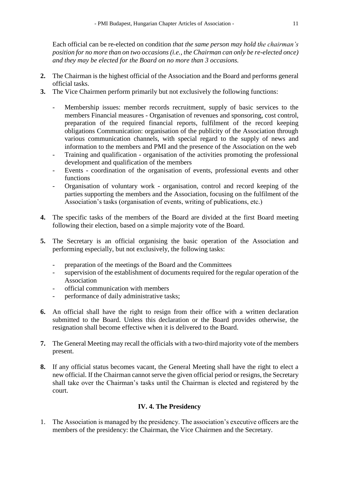Each official can be re-elected on condition *that the same person may hold the chairman's position for no more than on two occasions (i.e., the Chairman can only be re-elected once) and they may be elected for the Board on no more than 3 occasions.*

- **2.** The Chairman is the highest official of the Association and the Board and performs general official tasks.
- **3.** The Vice Chairmen perform primarily but not exclusively the following functions:
	- Membership issues: member records recruitment, supply of basic services to the members Financial measures - Organisation of revenues and sponsoring, cost control, preparation of the required financial reports, fulfilment of the record keeping obligations Communication: organisation of the publicity of the Association through various communication channels, with special regard to the supply of news and information to the members and PMI and the presence of the Association on the web
	- Training and qualification organisation of the activities promoting the professional development and qualification of the members
	- Events coordination of the organisation of events, professional events and other functions
	- Organisation of voluntary work organisation, control and record keeping of the parties supporting the members and the Association, focusing on the fulfilment of the Association's tasks (organisation of events, writing of publications, etc.)
- **4.** The specific tasks of the members of the Board are divided at the first Board meeting following their election, based on a simple majority vote of the Board.
- **5.** The Secretary is an official organising the basic operation of the Association and performing especially, but not exclusively, the following tasks:
	- preparation of the meetings of the Board and the Committees
	- supervision of the establishment of documents required for the regular operation of the Association
	- official communication with members
	- performance of daily administrative tasks;
- **6.** An official shall have the right to resign from their office with a written declaration submitted to the Board. Unless this declaration or the Board provides otherwise, the resignation shall become effective when it is delivered to the Board.
- **7.** The General Meeting may recall the officials with a two-third majority vote of the members present.
- **8.** If any official status becomes vacant, the General Meeting shall have the right to elect a new official. If the Chairman cannot serve the given official period or resigns, the Secretary shall take over the Chairman's tasks until the Chairman is elected and registered by the court.

# **IV. 4. The Presidency**

1. The Association is managed by the presidency. The association's executive officers are the members of the presidency: the Chairman, the Vice Chairmen and the Secretary.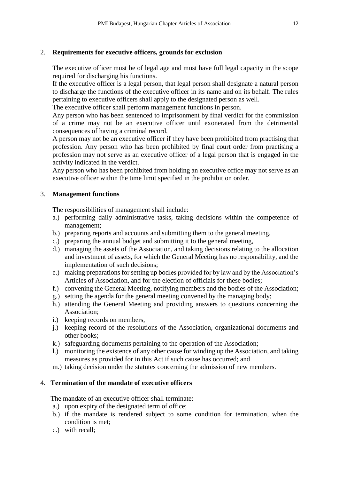### 2. **Requirements for executive officers, grounds for exclusion**

The executive officer must be of legal age and must have full legal capacity in the scope required for discharging his functions.

If the executive officer is a legal person, that legal person shall designate a natural person to discharge the functions of the executive officer in its name and on its behalf. The rules pertaining to executive officers shall apply to the designated person as well.

The executive officer shall perform management functions in person.

Any person who has been sentenced to imprisonment by final verdict for the commission of a crime may not be an executive officer until exonerated from the detrimental consequences of having a criminal record.

A person may not be an executive officer if they have been prohibited from practising that profession. Any person who has been prohibited by final court order from practising a profession may not serve as an executive officer of a legal person that is engaged in the activity indicated in the verdict.

Any person who has been prohibited from holding an executive office may not serve as an executive officer within the time limit specified in the prohibition order.

## 3. **Management functions**

The responsibilities of management shall include:

- a.) performing daily administrative tasks, taking decisions within the competence of management;
- b.) preparing reports and accounts and submitting them to the general meeting.
- c.) preparing the annual budget and submitting it to the general meeting,
- d.) managing the assets of the Association, and taking decisions relating to the allocation and investment of assets, for which the General Meeting has no responsibility, and the implementation of such decisions;
- e.) making preparations for setting up bodies provided for by law and by the Association's Articles of Association, and for the election of officials for these bodies;
- f.) convening the General Meeting, notifying members and the bodies of the Association;
- g.) setting the agenda for the general meeting convened by the managing body;
- h.) attending the General Meeting and providing answers to questions concerning the Association;
- i.) keeping records on members,
- j.) keeping record of the resolutions of the Association, organizational documents and other books;
- k.) safeguarding documents pertaining to the operation of the Association;
- l.) monitoring the existence of any other cause for winding up the Association, and taking measures as provided for in this Act if such cause has occurred; and
- m.) taking decision under the statutes concerning the admission of new members.

# 4. **Termination of the mandate of executive officers**

The mandate of an executive officer shall terminate:

- a.) upon expiry of the designated term of office;
- b.) if the mandate is rendered subject to some condition for termination, when the condition is met;
- c.) with recall;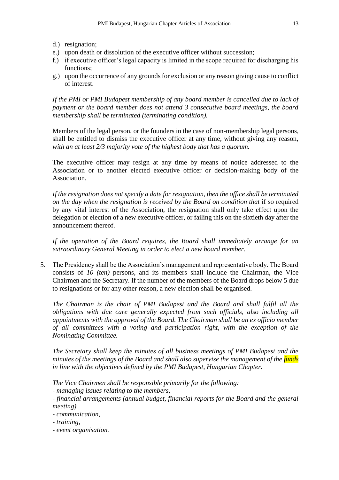- d.) resignation;
- e.) upon death or dissolution of the executive officer without succession;
- f.) if executive officer's legal capacity is limited in the scope required for discharging his functions;
- g.) upon the occurrence of any grounds for exclusion or any reason giving cause to conflict of interest.

*If the PMI or PMI Budapest membership of any board member is cancelled due to lack of payment or the board member does not attend 3 consecutive board meetings, the board membership shall be terminated (terminating condition).* 

Members of the legal person, or the founders in the case of non-membership legal persons, shall be entitled to dismiss the executive officer at any time, without giving any reason, *with an at least 2/3 majority vote of the highest body that has a quorum.* 

The executive officer may resign at any time by means of notice addressed to the Association or to another elected executive officer or decision-making body of the Association.

*If the resignation does not specify a date for resignation, then the office shall be terminated on the day when the resignation is received by the Board on condition that if so required* by any vital interest of the Association, the resignation shall only take effect upon the delegation or election of a new executive officer, or failing this on the sixtieth day after the announcement thereof.

*If the operation of the Board requires, the Board shall immediately arrange for an extraordinary General Meeting in order to elect a new board member.*

5. The Presidency shall be the Association's management and representative body. The Board consists of *10 (ten)* persons, and its members shall include the Chairman, the Vice Chairmen and the Secretary. If the number of the members of the Board drops below 5 due to resignations or for any other reason, a new election shall be organised.

*The Chairman is the chair of PMI Budapest and the Board and shall fulfil all the obligations with due care generally expected from such officials, also including all appointments with the approval of the Board. The Chairman shall be an ex officio member of all committees with a voting and participation right, with the exception of the Nominating Committee.* 

*The Secretary shall keep the minutes of all business meetings of PMI Budapest and the minutes of the meetings of the Board and shall also supervise the management of the funds in line with the objectives defined by the PMI Budapest, Hungarian Chapter.* 

*The Vice Chairmen shall be responsible primarily for the following:*

*- managing issues relating to the members,*

*- financial arrangements (annual budget, financial reports for the Board and the general meeting)* 

*- communication,* 

*- training,*

*- event organisation.*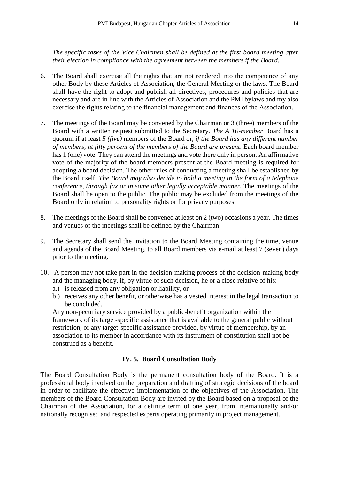*The specific tasks of the Vice Chairmen shall be defined at the first board meeting after their election in compliance with the agreement between the members if the Board.*

- 6. The Board shall exercise all the rights that are not rendered into the competence of any other Body by these Articles of Association, the General Meeting or the laws. The Board shall have the right to adopt and publish all directives, procedures and policies that are necessary and are in line with the Articles of Association and the PMI bylaws and my also exercise the rights relating to the financial management and finances of the Association.
- 7. The meetings of the Board may be convened by the Chairman or 3 (three) members of the Board with a written request submitted to the Secretary. *The A 10-member* Board has a quorum if at least *5 (five)* members of the Board or, *if the Board has any different number of members, at fifty percent of the members of the Board are present*. Each board member has 1 (one) vote. They can attend the meetings and vote there only in person. An affirmative vote of the majority of the board members present at the Board meeting is required for adopting a board decision. The other rules of conducting a meeting shall be established by the Board itself. *The Board may also decide to hold a meeting in the form of a telephone conference, through fax or in some other legally acceptable manner.* The meetings of the Board shall be open to the public. The public may be excluded from the meetings of the Board only in relation to personality rights or for privacy purposes.
- 8. The meetings of the Board shall be convened at least on 2 (two) occasions a year. The times and venues of the meetings shall be defined by the Chairman.
- 9. The Secretary shall send the invitation to the Board Meeting containing the time, venue and agenda of the Board Meeting, to all Board members via e-mail at least 7 (seven) days prior to the meeting.
- 10. A person may not take part in the decision-making process of the decision-making body and the managing body, if, by virtue of such decision, he or a close relative of his:
	- a.) is released from any obligation or liability, or
	- b.) receives any other benefit, or otherwise has a vested interest in the legal transaction to be concluded.

Any non-pecuniary service provided by a public-benefit organization within the framework of its target-specific assistance that is available to the general public without restriction, or any target-specific assistance provided, by virtue of membership, by an association to its member in accordance with its instrument of constitution shall not be construed as a benefit.

### **IV. 5. Board Consultation Body**

The Board Consultation Body is the permanent consultation body of the Board. It is a professional body involved on the preparation and drafting of strategic decisions of the board in order to facilitate the effective implementation of the objectives of the Association. The members of the Board Consultation Body are invited by the Board based on a proposal of the Chairman of the Association, for a definite term of one year, from internationally and/or nationally recognised and respected experts operating primarily in project management.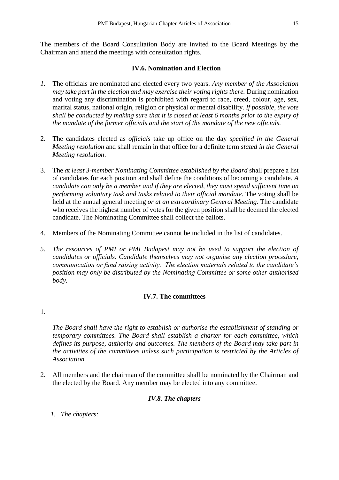The members of the Board Consultation Body are invited to the Board Meetings by the Chairman and attend the meetings with consultation rights.

# **IV.6. Nomination and Election**

- *1.* The officials are nominated and elected every two years. *Any member of the Association may take part in the election and may exercise their voting rights there.* During nomination and voting any discrimination is prohibited with regard to race, creed, colour, age, sex, marital status, national origin, religion or physical or mental disability. *If possible, the vote shall be conducted by making sure that it is closed at least 6 months prior to the expiry of the mandate of the former officials and the start of the mandate of the new officials.*
- 2. The candidates elected as *officials* take up office on the day *specified in the General Meeting resolution* and shall remain in that office for a definite term *stated in the General Meeting resolution*.
- 3. The *at least 3-member Nominating Committee established by the Board* shall prepare a list of candidates for each position and shall define the conditions of becoming a candidate. *A candidate can only be a member and if they are elected, they must spend sufficient time on performing voluntary task and tasks related to their official mandate.* The voting shall be held at the annual general meeting *or at an extraordinary General Meeting*. The candidate who receives the highest number of votes for the given position shall be deemed the elected candidate. The Nominating Committee shall collect the ballots.
- 4. Members of the Nominating Committee cannot be included in the list of candidates.
- *5. The resources of PMI or PMI Budapest may not be used to support the election of candidates or officials. Candidate themselves may not organise any election procedure, communication or fund raising activity. The election materials related to the candidate's position may only be distributed by the Nominating Committee or some other authorised body.*

### **IV.7. The committees**

#### 1.

*The Board shall have the right to establish or authorise the establishment of standing or temporary committees. The Board shall establish a charter for each committee, which defines its purpose, authority and outcomes. The members of the Board may take part in the activities of the committees unless such participation is restricted by the Articles of Association.*

2. All members and the chairman of the committee shall be nominated by the Chairman and the elected by the Board. Any member may be elected into any committee.

# *IV.8. The chapters*

*1. The chapters:*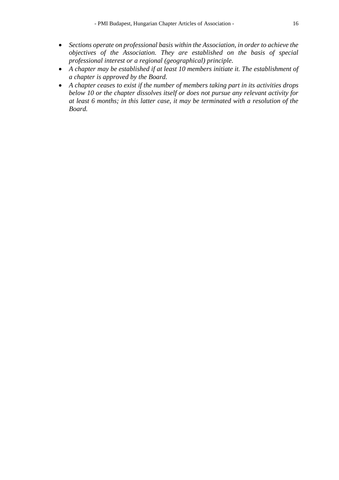- *Sections operate on professional basis within the Association, in order to achieve the objectives of the Association. They are established on the basis of special professional interest or a regional (geographical) principle.*
- *A chapter may be established if at least 10 members initiate it. The establishment of a chapter is approved by the Board.*
- *A chapter ceases to exist if the number of members taking part in its activities drops below 10 or the chapter dissolves itself or does not pursue any relevant activity for at least 6 months; in this latter case, it may be terminated with a resolution of the Board.*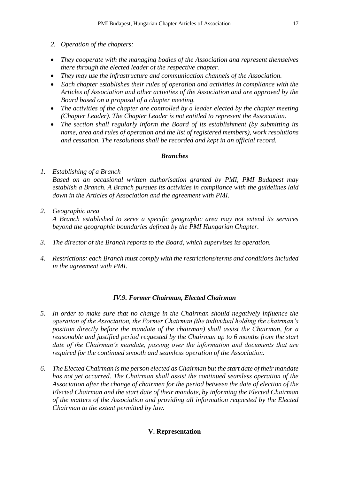- *2. Operation of the chapters:*
- *They cooperate with the managing bodies of the Association and represent themselves there through the elected leader of the respective chapter.*
- *They may use the infrastructure and communication channels of the Association.*
- *Each chapter establishes their rules of operation and activities in compliance with the Articles of Association and other activities of the Association and are approved by the Board based on a proposal of a chapter meeting.*
- *The activities of the chapter are controlled by a leader elected by the chapter meeting (Chapter Leader). The Chapter Leader is not entitled to represent the Association.*
- *The section shall regularly inform the Board of its establishment (by submitting its name, area and rules of operation and the list of registered members), work resolutions and cessation. The resolutions shall be recorded and kept in an official record.*

## *Branches*

- *1. Establishing of a Branch Based on an occasional written authorisation granted by PMI, PMI Budapest may establish a Branch. A Branch pursues its activities in compliance with the guidelines laid down in the Articles of Association and the agreement with PMI.*
- *2. Geographic area A Branch established to serve a specific geographic area may not extend its services beyond the geographic boundaries defined by the PMI Hungarian Chapter.*
- *3. The director of the Branch reports to the Board, which supervises its operation.*
- *4. Restrictions: each Branch must comply with the restrictions/terms and conditions included in the agreement with PMI.*

# *IV.9. Former Chairman, Elected Chairman*

- *5. In order to make sure that no change in the Chairman should negatively influence the operation of the Association, the Former Chairman (the individual holding the chairman's position directly before the mandate of the chairman) shall assist the Chairman, for a reasonable and justified period requested by the Chairman up to 6 months from the start date of the Chairman's mandate, passing over the information and documents that are required for the continued smooth and seamless operation of the Association.*
- *6. The Elected Chairman is the person elected as Chairman but the start date of their mandate has not yet occurred. The Chairman shall assist the continued seamless operation of the Association after the change of chairmen for the period between the date of election of the Elected Chairman and the start date of their mandate, by informing the Elected Chairman of the matters of the Association and providing all information requested by the Elected Chairman to the extent permitted by law.*

# **V. Representation**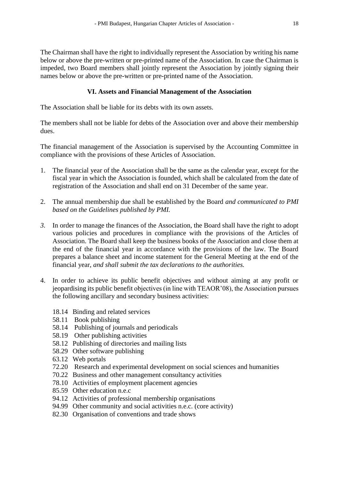The Chairman shall have the right to individually represent the Association by writing his name below or above the pre-written or pre-printed name of the Association. In case the Chairman is impeded, two Board members shall jointly represent the Association by jointly signing their names below or above the pre-written or pre-printed name of the Association.

# **VI. Assets and Financial Management of the Association**

The Association shall be liable for its debts with its own assets.

The members shall not be liable for debts of the Association over and above their membership dues.

The financial management of the Association is supervised by the Accounting Committee in compliance with the provisions of these Articles of Association.

- 1. The financial year of the Association shall be the same as the calendar year, except for the fiscal year in which the Association is founded, which shall be calculated from the date of registration of the Association and shall end on 31 December of the same year.
- 2. The annual membership due shall be established by the Board *and communicated to PMI based on the Guidelines published by PMI.*
- *3.* In order to manage the finances of the Association, the Board shall have the right to adopt various policies and procedures in compliance with the provisions of the Articles of Association. The Board shall keep the business books of the Association and close them at the end of the financial year in accordance with the provisions of the law. The Board prepares a balance sheet and income statement for the General Meeting at the end of the financial year, *and shall submit the tax declarations to the authorities.*
- 4. In order to achieve its public benefit objectives and without aiming at any profit or jeopardising its public benefit objectives (in line with TEAOR'08), the Association pursues the following ancillary and secondary business activities:
	- 18.14 Binding and related services
	- 58.11 Book publishing
	- 58.14 Publishing of journals and periodicals
	- 58.19 Other publishing activities
	- 58.12 Publishing of directories and mailing lists
	- 58.29 Other software publishing
	- 63.12 Web portals
	- 72.20 Research and experimental development on social sciences and humanities
	- 70.22 Business and other management consultancy activities
	- 78.10 Activities of employment placement agencies
	- 85.59 Other education n.e.c
	- 94.12 Activities of professional membership organisations
	- 94.99 Other community and social activities n.e.c. (core activity)
	- 82.30 Organisation of conventions and trade shows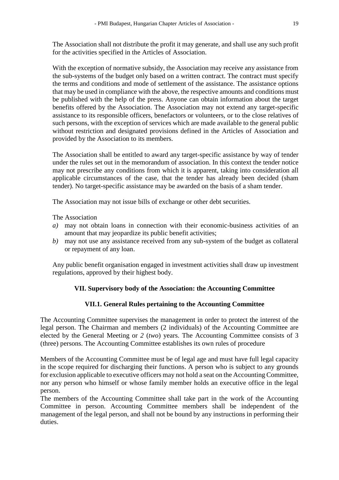The Association shall not distribute the profit it may generate, and shall use any such profit for the activities specified in the Articles of Association.

With the exception of normative subsidy, the Association may receive any assistance from the sub-systems of the budget only based on a written contract. The contract must specify the terms and conditions and mode of settlement of the assistance. The assistance options that may be used in compliance with the above, the respective amounts and conditions must be published with the help of the press. Anyone can obtain information about the target benefits offered by the Association. The Association may not extend any target-specific assistance to its responsible officers, benefactors or volunteers, or to the close relatives of such persons, with the exception of services which are made available to the general public without restriction and designated provisions defined in the Articles of Association and provided by the Association to its members.

The Association shall be entitled to award any target-specific assistance by way of tender under the rules set out in the memorandum of association. In this context the tender notice may not prescribe any conditions from which it is apparent, taking into consideration all applicable circumstances of the case, that the tender has already been decided (sham tender). No target-specific assistance may be awarded on the basis of a sham tender.

The Association may not issue bills of exchange or other debt securities.

The Association

- *a)* may not obtain loans in connection with their economic-business activities of an amount that may jeopardize its public benefit activities;
- *b)* may not use any assistance received from any sub-system of the budget as collateral or repayment of any loan.

Any public benefit organisation engaged in investment activities shall draw up investment regulations, approved by their highest body.

### **VII. Supervisory body of the Association: the Accounting Committee**

### **VII.1. General Rules pertaining to the Accounting Committee**

The Accounting Committee supervises the management in order to protect the interest of the legal person. The Chairman and members (2 individuals) of the Accounting Committee are elected by the General Meeting or *2* (*two*) years. The Accounting Committee consists of 3 (three) persons. The Accounting Committee establishes its own rules of procedure

Members of the Accounting Committee must be of legal age and must have full legal capacity in the scope required for discharging their functions. A person who is subject to any grounds for exclusion applicable to executive officers may not hold a seat on the Accounting Committee, nor any person who himself or whose family member holds an executive office in the legal person.

The members of the Accounting Committee shall take part in the work of the Accounting Committee in person. Accounting Committee members shall be independent of the management of the legal person, and shall not be bound by any instructions in performing their duties.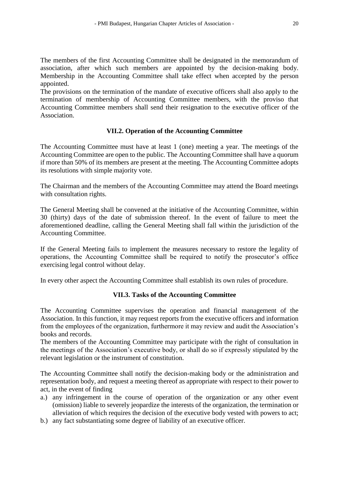The members of the first Accounting Committee shall be designated in the memorandum of association, after which such members are appointed by the decision-making body. Membership in the Accounting Committee shall take effect when accepted by the person appointed.

The provisions on the termination of the mandate of executive officers shall also apply to the termination of membership of Accounting Committee members, with the proviso that Accounting Committee members shall send their resignation to the executive officer of the Association.

## **VII.2. Operation of the Accounting Committee**

The Accounting Committee must have at least 1 (one) meeting a year. The meetings of the Accounting Committee are open to the public. The Accounting Committee shall have a quorum if more than 50% of its members are present at the meeting. The Accounting Committee adopts its resolutions with simple majority vote.

The Chairman and the members of the Accounting Committee may attend the Board meetings with consultation rights.

The General Meeting shall be convened at the initiative of the Accounting Committee, within 30 (thirty) days of the date of submission thereof. In the event of failure to meet the aforementioned deadline, calling the General Meeting shall fall within the jurisdiction of the Accounting Committee.

If the General Meeting fails to implement the measures necessary to restore the legality of operations, the Accounting Committee shall be required to notify the prosecutor's office exercising legal control without delay.

In every other aspect the Accounting Committee shall establish its own rules of procedure.

# **VII.3. Tasks of the Accounting Committee**

The Accounting Committee supervises the operation and financial management of the Association. In this function, it may request reports from the executive officers and information from the employees of the organization, furthermore it may review and audit the Association's books and records.

The members of the Accounting Committee may participate with the right of consultation in the meetings of the Association's executive body, or shall do so if expressly stipulated by the relevant legislation or the instrument of constitution.

The Accounting Committee shall notify the decision-making body or the administration and representation body, and request a meeting thereof as appropriate with respect to their power to act, in the event of finding

- a.) any infringement in the course of operation of the organization or any other event (omission) liable to severely jeopardize the interests of the organization, the termination or alleviation of which requires the decision of the executive body vested with powers to act;
- b.) any fact substantiating some degree of liability of an executive officer.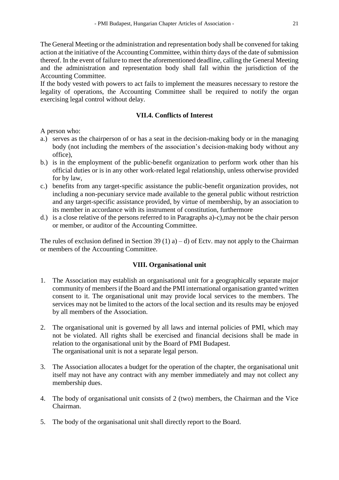The General Meeting or the administration and representation body shall be convened for taking action at the initiative of the Accounting Committee, within thirty days of the date of submission thereof. In the event of failure to meet the aforementioned deadline, calling the General Meeting and the administration and representation body shall fall within the jurisdiction of the Accounting Committee.

If the body vested with powers to act fails to implement the measures necessary to restore the legality of operations, the Accounting Committee shall be required to notify the organ exercising legal control without delay.

## **VII.4. Conflicts of Interest**

A person who:

- a.) serves as the chairperson of or has a seat in the decision-making body or in the managing body (not including the members of the association's decision-making body without any office),
- b.) is in the employment of the public-benefit organization to perform work other than his official duties or is in any other work-related legal relationship, unless otherwise provided for by law,
- c.) benefits from any target-specific assistance the public-benefit organization provides, not including a non-pecuniary service made available to the general public without restriction and any target-specific assistance provided, by virtue of membership, by an association to its member in accordance with its instrument of constitution, furthermore
- d.) is a close relative of the persons referred to in Paragraphs a)-c),may not be the chair person or member, or auditor of the Accounting Committee.

The rules of exclusion defined in Section 39 (1) a) – d) of Ectv. may not apply to the Chairman or members of the Accounting Committee.

### **VIII. Organisational unit**

- 1. The Association may establish an organisational unit for a geographically separate major community of members if the Board and the PMI international organisation granted written consent to it. The organisational unit may provide local services to the members. The services may not be limited to the actors of the local section and its results may be enjoyed by all members of the Association.
- 2. The organisational unit is governed by all laws and internal policies of PMI, which may not be violated. All rights shall be exercised and financial decisions shall be made in relation to the organisational unit by the Board of PMI Budapest. The organisational unit is not a separate legal person.
- 3. The Association allocates a budget for the operation of the chapter, the organisational unit itself may not have any contract with any member immediately and may not collect any membership dues.
- 4. The body of organisational unit consists of 2 (two) members, the Chairman and the Vice Chairman.
- 5. The body of the organisational unit shall directly report to the Board.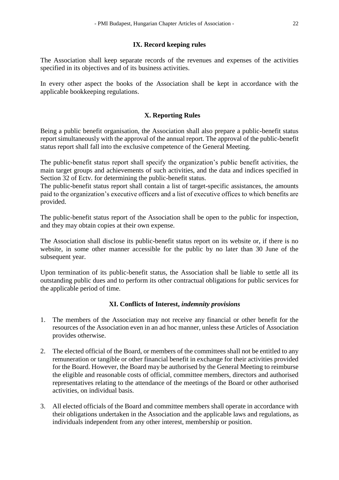### **IX. Record keeping rules**

The Association shall keep separate records of the revenues and expenses of the activities specified in its objectives and of its business activities.

In every other aspect the books of the Association shall be kept in accordance with the applicable bookkeeping regulations.

# **X. Reporting Rules**

Being a public benefit organisation, the Association shall also prepare a public-benefit status report simultaneously with the approval of the annual report. The approval of the public-benefit status report shall fall into the exclusive competence of the General Meeting.

The public-benefit status report shall specify the organization's public benefit activities, the main target groups and achievements of such activities, and the data and indices specified in Section 32 of Ectv. for determining the public-benefit status.

The public-benefit status report shall contain a list of target-specific assistances, the amounts paid to the organization's executive officers and a list of executive offices to which benefits are provided.

The public-benefit status report of the Association shall be open to the public for inspection, and they may obtain copies at their own expense.

The Association shall disclose its public-benefit status report on its website or, if there is no website, in some other manner accessible for the public by no later than 30 June of the subsequent year.

Upon termination of its public-benefit status, the Association shall be liable to settle all its outstanding public dues and to perform its other contractual obligations for public services for the applicable period of time.

# **XI. Conflicts of Interest,** *indemnity provisions*

- 1. The members of the Association may not receive any financial or other benefit for the resources of the Association even in an ad hoc manner, unless these Articles of Association provides otherwise.
- 2. The elected official of the Board, or members of the committees shall not be entitled to any remuneration or tangible or other financial benefit in exchange for their activities provided for the Board. However, the Board may be authorised by the General Meeting to reimburse the eligible and reasonable costs of official, committee members, directors and authorised representatives relating to the attendance of the meetings of the Board or other authorised activities, on individual basis.
- 3. All elected officials of the Board and committee members shall operate in accordance with their obligations undertaken in the Association and the applicable laws and regulations, as individuals independent from any other interest, membership or position.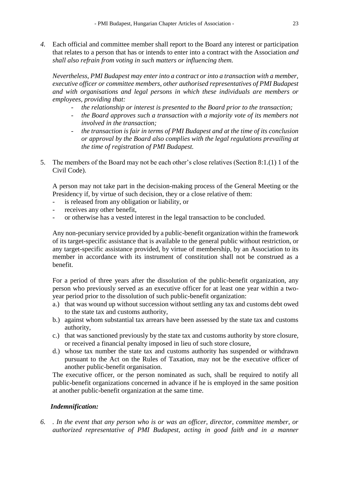*4.* Each official and committee member shall report to the Board any interest or participation that relates to a person that has or intends to enter into a contract with the Association *and shall also refrain from voting in such matters or influencing them.* 

*Nevertheless, PMI Budapest may enter into a contract or into a transaction with a member, executive officer or committee members, other authorised representatives of PMI Budapest and with organisations and legal persons in which these individuals are members or employees, providing that:*

- *the relationship or interest is presented to the Board prior to the transaction;*
- the Board approves such a transaction with a majority vote of its members not *involved in the transaction;*
- the transaction is fair in terms of PMI Budapest and at the time of its conclusion *or approval by the Board also complies with the legal regulations prevailing at the time of registration of PMI Budapest.*
- 5. The members of the Board may not be each other's close relatives (Section 8:1.(1) 1 of the Civil Code).

A person may not take part in the decision-making process of the General Meeting or the Presidency if, by virtue of such decision, they or a close relative of them:

- is released from any obligation or liability, or
- receives any other benefit,
- or otherwise has a vested interest in the legal transaction to be concluded.

Any non-pecuniary service provided by a public-benefit organization within the framework of its target-specific assistance that is available to the general public without restriction, or any target-specific assistance provided, by virtue of membership, by an Association to its member in accordance with its instrument of constitution shall not be construed as a benefit.

For a period of three years after the dissolution of the public-benefit organization, any person who previously served as an executive officer for at least one year within a twoyear period prior to the dissolution of such public-benefit organization:

- a.) that was wound up without succession without settling any tax and customs debt owed to the state tax and customs authority,
- b.) against whom substantial tax arrears have been assessed by the state tax and customs authority,
- c.) that was sanctioned previously by the state tax and customs authority by store closure, or received a financial penalty imposed in lieu of such store closure,
- d.) whose tax number the state tax and customs authority has suspended or withdrawn pursuant to the Act on the Rules of Taxation, may not be the executive officer of another public-benefit organisation.

The executive officer, or the person nominated as such, shall be required to notify all public-benefit organizations concerned in advance if he is employed in the same position at another public-benefit organization at the same time.

# *Indemnification:*

*6. . In the event that any person who is or was an officer, director, committee member, or authorized representative of PMI Budapest, acting in good faith and in a manner*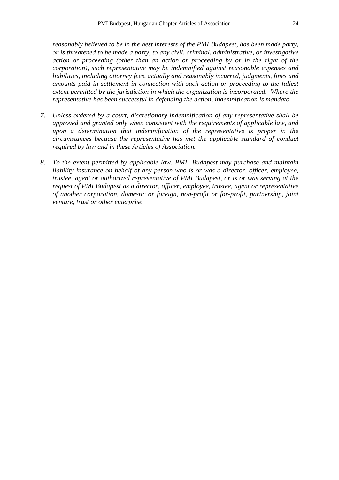*reasonably believed to be in the best interests of the PMI Budapest, has been made party, or is threatened to be made a party, to any civil, criminal, administrative, or investigative action or proceeding (other than an action or proceeding by or in the right of the corporation), such representative may be indemnified against reasonable expenses and liabilities, including attorney fees, actually and reasonably incurred, judgments, fines and amounts paid in settlement in connection with such action or proceeding to the fullest extent permitted by the jurisdiction in which the organization is incorporated. Where the representative has been successful in defending the action, indemnification is mandato*

- *7. Unless ordered by a court, discretionary indemnification of any representative shall be approved and granted only when consistent with the requirements of applicable law, and upon a determination that indemnification of the representative is proper in the circumstances because the representative has met the applicable standard of conduct required by law and in these Articles of Association.*
- *8. To the extent permitted by applicable law, PMI Budapest may purchase and maintain liability insurance on behalf of any person who is or was a director, officer, employee, trustee, agent or authorized representative of PMI Budapest, or is or was serving at the request of PMI Budapest as a director, officer, employee, trustee, agent or representative of another corporation, domestic or foreign, non-profit or for-profit, partnership, joint venture, trust or other enterprise.*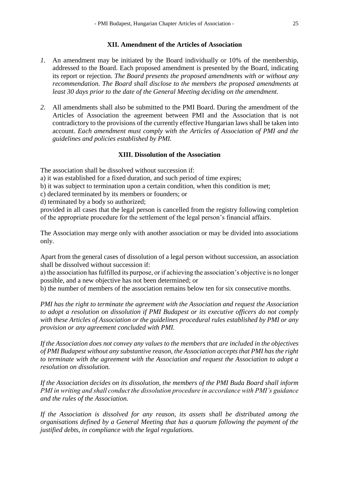### **XII. Amendment of the Articles of Association**

- *1.* An amendment may be initiated by the Board individually or 10% of the membership, addressed to the Board. Each proposed amendment is presented by the Board, indicating its report or rejection. *The Board presents the proposed amendments with or without any recommendation. The Board shall disclose to the members the proposed amendments at least 30 days prior to the date of the General Meeting deciding on the amendment.*
- *2.* All amendments shall also be submitted to the PMI Board. During the amendment of the Articles of Association the agreement between PMI and the Association that is not contradictory to the provisions of the currently effective Hungarian laws shall be taken into account. *Each amendment must comply with the Articles of Association of PMI and the guidelines and policies established by PMI.*

### **XIII. Dissolution of the Association**

The association shall be dissolved without succession if:

a) it was established for a fixed duration, and such period of time expires;

b) it was subject to termination upon a certain condition, when this condition is met;

c) declared terminated by its members or founders; or

d) terminated by a body so authorized;

provided in all cases that the legal person is cancelled from the registry following completion of the appropriate procedure for the settlement of the legal person's financial affairs.

The Association may merge only with another association or may be divided into associations only.

Apart from the general cases of dissolution of a legal person without succession, an association shall be dissolved without succession if:

a) the association has fulfilled its purpose, or if achieving the association's objective is no longer possible, and a new objective has not been determined; or

b) the number of members of the association remains below ten for six consecutive months.

*PMI has the right to terminate the agreement with the Association and request the Association to adopt a resolution on dissolution if PMI Budapest or its executive officers do not comply with these Articles of Association or the guidelines procedural rules established by PMI or any provision or any agreement concluded with PMI.* 

*If the Association does not convey any values to the members that are included in the objectives of PMI Budapest without any substantive reason, the Association accepts that PMI has the right to terminate with the agreement with the Association and request the Association to adopt a resolution on dissolution.*

*If the Association decides on its dissolution, the members of the PMI Buda Board shall inform PMI in writing and shall conduct the dissolution procedure in accordance with PMI's guidance and the rules of the Association.*

*If the Association is dissolved for any reason, its assets shall be distributed among the organisations defined by a General Meeting that has a quorum following the payment of the justified debts, in compliance with the legal regulations.*